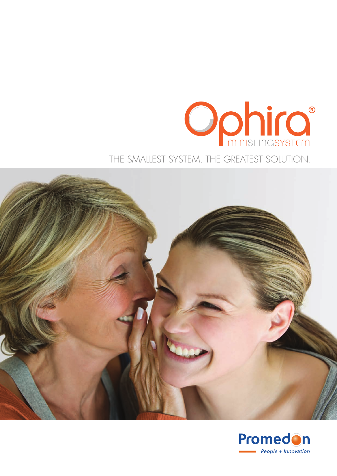# **Ophic** THE SMALLEST SYSTEM. THE GREATEST SOLUTION.



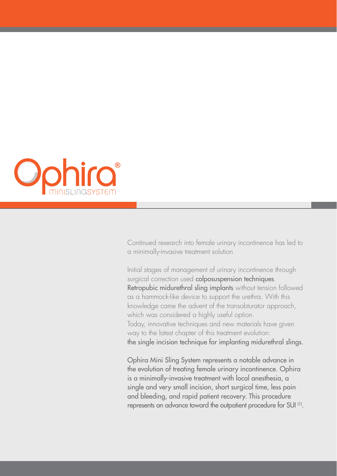

Continued research into female urinary incontinence has led to a minimally-invasive treatment solution

Initial stages of management of urinary incontinence through surgical correction used colposuspension techniques. Retropubic midurethral sling implants without tension followed as a hammock-like device to support the urethra. With this knowledge came the advent of the transobturator approach, which was considered a highly useful option. Today, innovative techniques and new materials have given way to the latest chapter of this treatment evolution: the single incision technique for implanting midurethral slings.

Ophira Mini Sling System represents a notable advance in the evolution of treating female urinary incontinence. Ophira is a minimally-invasive treatment with local anesthesia, a single and very small incision, short surgical time, less pain and bleeding, and rapid patient recovery. This procedure represents an advance toward the outpatient procedure for SUI (1).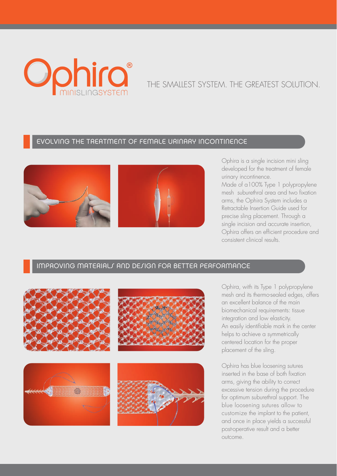

# THE SMALLEST SYSTEM. THE GREATEST SOLUTION.

### EVOLVING THE TREATMENT OF FEMALE URINARY INCONTINENCE





Ophira is a single incision mini sling developed for the treatment of female urinary incontinence.

Made of a100% Type 1 polypropylene mesh suburethral area and two fixation arms, the Ophira System includes a Retractable Insertion Guide used for precise sling placement. Through a single incision and accurate insertion, Ophira offers an efficient procedure and consistent clinical results.

#### IMPROVING MATERIALS AND DESIGN FOR BETTER PERFORMANCE



Ophira, with its Type 1 polypropylene mesh and its thermo-sealed edges, offers an excellent balance of the main biomechanical requirements: tissue integration and low elasticity. An easily identifiable mark in the center helps to achieve a symmetrically centered location for the proper placement of the sling.

Ophira has blue loosening sutures inserted in the base of both fixation arms, giving the ability to correct excessive tension during the procedure for optimum suburethral support. The blue loosening sutures allow to customize the implant to the patient, and once in place yields a successful post-operative result and a better outcome.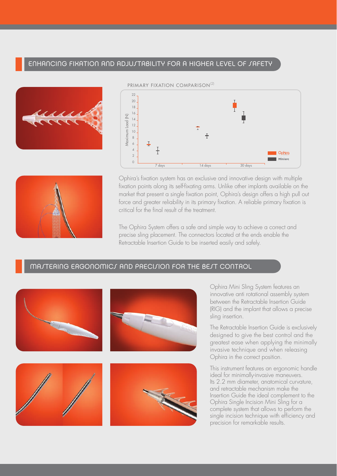#### ENHANCING FIXATION AND ADJUJTABILITY FOR A HIGHER LEVEL OF JAFETY







Ophira's fixation system has an exclusive and innovative design with multiple fixation points along its self-fixating arms. Unlike other implants available on the market that present a single fixation point, Ophira's design offers a high pull out force and greater reliability in its primary fixation. A reliable primary fixation is critical for the final result of the treatment.

The Ophira System offers a safe and simple way to achieve a correct and precise sling placement. The connectors located at the ends enable the Retractable Insertion Guide to be inserted easily and safely.



Ophira Mini Sling System features an innovative anti rotational assembly system between the Retractable Insertion Guide (RIG) and the implant that allows a precise sling insertion.

The Retractable Insertion Guide is exclusively designed to give the best control and the greatest ease when applying the minimally invasive technique and when releasing Ophira in the correct position.

This instrument features an ergonomic handle ideal for minimally-invasive maneuvers. Its 2.2 mm diameter, anatomical curvature, and retractable mechanism make the Insertion Guide the ideal complement to the Ophira Single Incision Mini Sling for a complete system that allows to perform the single incision technique with efficiency and precision for remarkable results.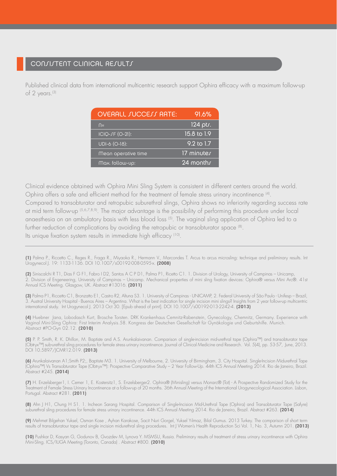Published clinical data from international multicentric research support Ophira efficacy with a maximum follow-up of 2 years.(3)

| <b>OVERALL JUCCEJJ RATE:</b> | 91.6%                  |
|------------------------------|------------------------|
| $\bigcap =$                  | $124$ pts.             |
| ICIQ-JF (O-21):              | $15.8 \text{ to } 1.9$ |
| UDI-6 (O-18):                | 9.2 to 1.7             |
| Mean operative time          | 17 minutes             |
| Max. follow-up:              | 24 months              |

Clinical evidence obtained with Ophira Mini Sling System is consistent in different centers around the world. Ophira offers a safe and efficient method for the treatment of female stress urinary incontinence  $^{(4)}$ . Compared to transobturator and retropubic suburethral slings, Ophira shows no inferiority regarding success rate at mid term follow-up (5,6,7,8,9). The major advantage is the possibility of performing this procedure under local anaesthesia on an ambulatory basis with less blood loss <sup>(5)</sup>. The vaginal sling application of Ophira led to a further reduction of complications by avoiding the retropubic or transobturator space (8). Its unique fixation system results in immediate high efficacy (10).

(1) Palma P., Riccetto C., Reges R., Fraga R., Miyaoka R., Hermann V., Marcondes T. Arcus to arcus microsling: technique and preliminary results. Int Urogynecol J. 19: 1133-1136. DOI 10.1007/s00192-008-0595-x. (2008)

(2) Siniscalchi R T1, Dias F G F1, Fabro I D2, Santos A C P D1, Palma P1, Ricetto C1. 1. Division of Urology, University of Campinas – Unicamp, 2. Division of Engeneering, University of Campinas – Unicamp. Mechanical properties of mini sling fixation devices: Ophira® versus Mini Arc®. 41st Annual ICS Meeting. Glasgow, UK. Abstract #13016. (2011)

(3) Palma P1, Riccetto C1, Bronzatto E1, Castro R2, Altuna S3. 1. University of Campinas - UNICAMP, 2. Federal University of São Paulo - Unifesp – Brazil, 3. Austral University Hospital - Buenos Aires – Argentina. What is the best indication for single incision mini slings? Insights from 2 year follow-up multicentric international study. Int Urogynecol J. 2013 Oct 30. [Epub ahead of print]. DOI 10.1007/s00192-013-2242-4. (2013)

(4) Huebner Jana, Lobodasch Kurt, Brosche Torsten. DRK Krankenhaus Cemnitz-Rabenstein, Gynecology, Chemnitz, Germany. Experience with Vaginal Mini-Sling Ophira: First Interim Analysis.58. Kongress der Deutschen Gesellschaft für Gynäkologie und Geburtshilfe. Munich. Abstract #PO-Gyn 02.12. (2010)

(5) P. P. Smith, R. K. Dhillon, M. Baptiste and A.S. Arunkalaivanan. Comparison of single-incision mid-urethral tape (Ophira™) and transobturator tape (Obtryx™) sub-urethral sling procedures for female stress urinary incontinence. Journal of Clinical Medicine and Research. Vol. 5(4), pp. 53-57, June, 2013. DOI 10.5897/JCMR12.019. (2013)

(6) Arunkalaivanan A1;Smith P2;, Baptiste M3. 1. University of Melbourne, 2. University of Birmingham, 3. City Hospital. Single-Incision Midurethral Tape (Ophira™) Vs Transobturator Tape (Obtryx™): Prospective Comparative Study – 2 Year Follow-Up. 44th ICS Annual Meeting 2014. Rio de Janeiro, Brazil. Abstract #245. (2014)

(7) H. Enzelsberger1, I. Cemer 1, E. Kostersitz1, S. Enzelsberger2. Ophira® (Minisling) versus Monarc® (Tot) - A Prospective Randomized Study for the Treatment of Female Stress Urinary Incontinence at a follow-up of 20 months. 36th Annual Meeting of the International Urogynecological Association. Lisbon, Portugal. Abstract #281. (2011)

(8) Ahn J H1, Chung H S1. 1. Incheon Sarang Hospital. Comparison of Single-Incision Mid-Urethral Tape (Ophira) and Transobturator Tape (Safyre) suburethral sling procedures for female stress urinary incontinence. 44th ICS Annual Meeting 2014. Rio de Janeiro, Brazil. Abstract #263. (2014)

(9) Mehmet Bilgehan Yuksel, Osman Kose , Ayhan Karakose, Sacit Nuri Gorgel, Yuksel Yılmaz, Bilal Gumus. 2013 Turkey. The comparison of short term results of transobturatour tape and single incision midurethral sling procedures. Int J Women's Health Reproduction Sci Vol. 1, No. 3, Autumn 201. (2013)

(10) Pushkar D, Kasyan G, Godunov B, Gvozdev M, Lynova Y. MSMSU, Russia. Preliminary results of treatment of stress urinary incontinence with Ophira Mini-Sling. ICS/IUGA Meeting (Toronto, Canada) . Abstract #800. (2010)